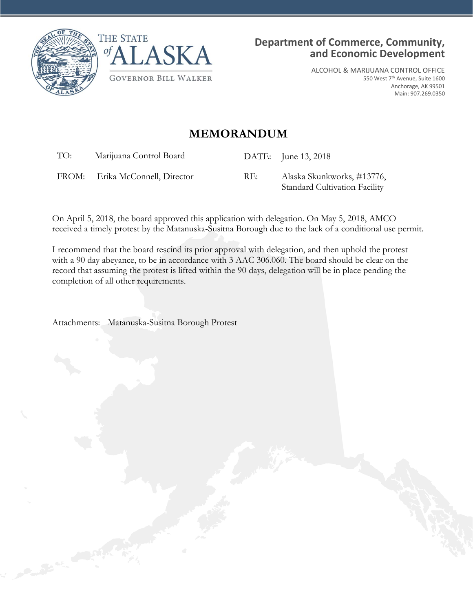



ALCOHOL & MARIJUANA CONTROL OFFICE 550 West 7th Avenue, Suite 1600 Anchorage, AK 99501 Main: 907.269.0350

## **MEMORANDUM**

TO: Marijuana Control Board DATE: June 13, 2018

FROM: Erika McConnell, Director RE: Alaska Skunkworks, #13776,

Standard Cultivation Facility

On April 5, 2018, the board approved this application with delegation. On May 5, 2018, AMCO received a timely protest by the Matanuska-Susitna Borough due to the lack of a conditional use permit.

I recommend that the board rescind its prior approval with delegation, and then uphold the protest with a 90 day abeyance, to be in accordance with 3 AAC 306.060. The board should be clear on the record that assuming the protest is lifted within the 90 days, delegation will be in place pending the completion of all other requirements.

Attachments: Matanuska-Susitna Borough Protest